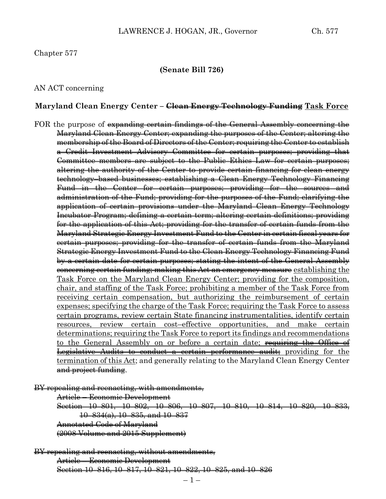### Chapter 577

#### **(Senate Bill 726)**

## AN ACT concerning

### **Maryland Clean Energy Center – Clean Energy Technology Funding Task Force**

FOR the purpose of expanding certain findings of the General Assembly concerning the Maryland Clean Energy Center; expanding the purposes of the Center; altering the membership of the Board of Directors of the Center; requiring the Center to establish a Credit Investment Advisory Committee for certain purposes; providing that Committee members are subject to the Public Ethics Law for certain purposes; altering the authority of the Center to provide certain financing for clean energy technology–based businesses; establishing a Clean Energy Technology Financing Fund in the Center for certain purposes; providing for the sources and administration of the Fund; providing for the purposes of the Fund; clarifying the application of certain provisions under the Maryland Clean Energy Technology Incubator Program; defining a certain term; altering certain definitions; providing for the application of this Act; providing for the transfer of certain funds from the Maryland Strategic Energy Investment Fund to the Center in certain fiscal years for certain purposes; providing for the transfer of certain funds from the Maryland Strategic Energy Investment Fund to the Clean Energy Technology Financing Fund by a certain date for certain purposes; stating the intent of the General Assembly concerning certain funding; making this Act an emergency measure establishing the Task Force on the Maryland Clean Energy Center; providing for the composition, chair, and staffing of the Task Force; prohibiting a member of the Task Force from receiving certain compensation, but authorizing the reimbursement of certain expenses; specifying the charge of the Task Force; requiring the Task Force to assess certain programs, review certain State financing instrumentalities, identify certain resources, review certain cost–effective opportunities, and make certain determinations; requiring the Task Force to report its findings and recommendations to the General Assembly on or before a certain date; requiring the Office of Legislative Audits to conduct a certain performance audit; providing for the termination of this Act; and generally relating to the Maryland Clean Energy Center and project funding.

BY repealing and reenacting, with amendments,

Article – Economic Development

Section 10–801, 10–802, 10–806, 10–807, 10–810, 10–814, 10–820, 10–833, 10–834(a), 10–835, and 10–837

Annotated Code of Maryland

(2008 Volume and 2015 Supplement)

BY repealing and reenacting, without amendments, Article – Economic Development Section 10–816, 10–817, 10–821, 10–822, 10–825, and 10–826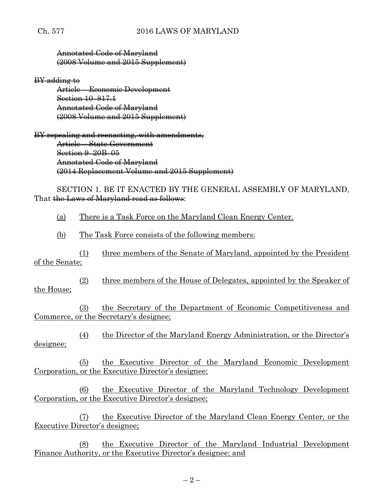Annotated Code of Maryland (2008 Volume and 2015 Supplement)

BY adding to

Article – Economic Development Section 10–817.1 Annotated Code of Maryland (2008 Volume and 2015 Supplement)

BY repealing and reenacting, with amendments, Article – State Government Section 9-20B-05 Annotated Code of Maryland (2014 Replacement Volume and 2015 Supplement)

SECTION 1. BE IT ENACTED BY THE GENERAL ASSEMBLY OF MARYLAND, That the Laws of Maryland read as follows:

(a) There is a Task Force on the Maryland Clean Energy Center.

(b) The Task Force consists of the following members:

(1) three members of the Senate of Maryland, appointed by the President of the Senate;

(2) three members of the House of Delegates, appointed by the Speaker of the House;

(3) the Secretary of the Department of Economic Competitiveness and Commerce, or the Secretary's designee;

(4) the Director of the Maryland Energy Administration, or the Director's designee;

(5) the Executive Director of the Maryland Economic Development Corporation, or the Executive Director's designee;

(6) the Executive Director of the Maryland Technology Development Corporation, or the Executive Director's designee;

(7) the Executive Director of the Maryland Clean Energy Center, or the Executive Director's designee;

(8) the Executive Director of the Maryland Industrial Development Finance Authority, or the Executive Director's designee; and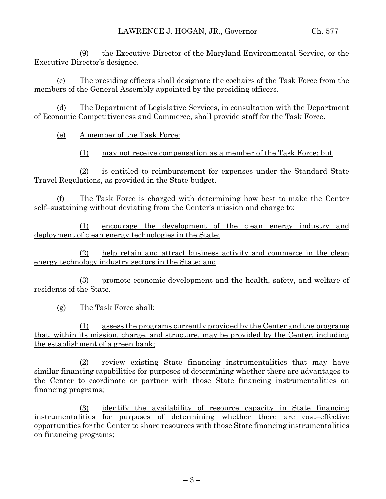(9) the Executive Director of the Maryland Environmental Service, or the Executive Director's designee.

(c) The presiding officers shall designate the cochairs of the Task Force from the members of the General Assembly appointed by the presiding officers.

(d) The Department of Legislative Services, in consultation with the Department of Economic Competitiveness and Commerce, shall provide staff for the Task Force.

(e) A member of the Task Force:

(1) may not receive compensation as a member of the Task Force; but

(2) is entitled to reimbursement for expenses under the Standard State Travel Regulations, as provided in the State budget.

(f) The Task Force is charged with determining how best to make the Center self–sustaining without deviating from the Center's mission and charge to:

(1) encourage the development of the clean energy industry and deployment of clean energy technologies in the State;

(2) help retain and attract business activity and commerce in the clean energy technology industry sectors in the State; and

(3) promote economic development and the health, safety, and welfare of residents of the State.

(g) The Task Force shall:

(1) assess the programs currently provided by the Center and the programs that, within its mission, charge, and structure, may be provided by the Center, including the establishment of a green bank;

(2) review existing State financing instrumentalities that may have similar financing capabilities for purposes of determining whether there are advantages to the Center to coordinate or partner with those State financing instrumentalities on financing programs;

(3) identify the availability of resource capacity in State financing instrumentalities for purposes of determining whether there are cost–effective opportunities for the Center to share resources with those State financing instrumentalities on financing programs;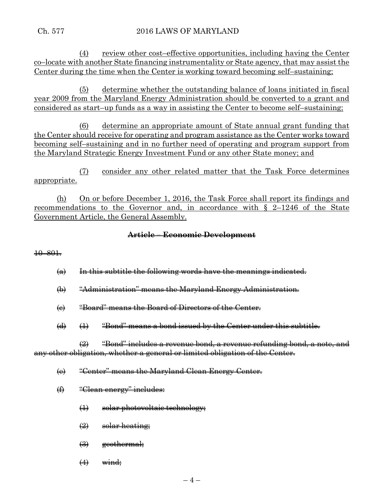(4) review other cost–effective opportunities, including having the Center co–locate with another State financing instrumentality or State agency, that may assist the Center during the time when the Center is working toward becoming self–sustaining;

(5) determine whether the outstanding balance of loans initiated in fiscal year 2009 from the Maryland Energy Administration should be converted to a grant and considered as start–up funds as a way in assisting the Center to become self–sustaining;

(6) determine an appropriate amount of State annual grant funding that the Center should receive for operating and program assistance as the Center works toward becoming self–sustaining and in no further need of operating and program support from the Maryland Strategic Energy Investment Fund or any other State money; and

(7) consider any other related matter that the Task Force determines appropriate.

(h) On or before December 1, 2016, the Task Force shall report its findings and recommendations to the Governor and, in accordance with § 2–1246 of the State Government Article, the General Assembly.

# **Article – Economic Development**

10–801.

- $(a)$  In this subtitle the following words have the meanings indicated.
- (b) "Administration" means the Maryland Energy Administration.
- (c) "Board" means the Board of Directors of the Center.
- $(d)$   $(l)$  "Bond" means a bond issued by the Center under this subtitle.

(2) "Bond" includes a revenue bond, a revenue refunding bond, a note, and any other obligation, whether a general or limited obligation of the Center.

- (e) "Center" means the Maryland Clean Energy Center.
- (f) "Clean energy" includes:
	- (1) solar photovoltaic technology;
	- $\left( 2 \right)$  solar-heating;
	- $\leftrightarrow$  geothermal;
	- $(4)$  wind: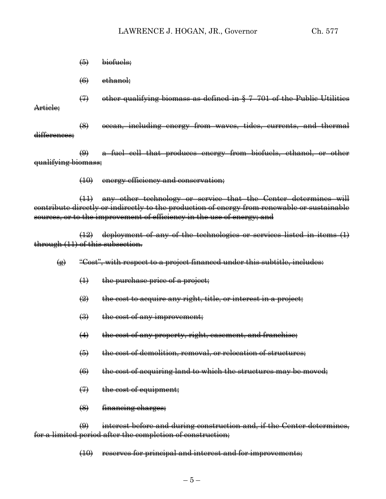- (5) biofuels;
- $(6)$  ethanol;

(7) other qualifying biomass as defined in § 7–701 of the Public Utilities Article;

(8) ocean, including energy from waves, tides, currents, and thermal differences:

(9) a fuel cell that produces energy from biofuels, ethanol, or other qualifying biomass;

(10) energy efficiency and conservation;

(11) any other technology or service that the Center determines will contribute directly or indirectly to the production of energy from renewable or sustainable sources, or to the improvement of efficiency in the use of energy; and

(12) deployment of any of the technologies or services listed in items (1) through (11) of this subsection.

- $\overline{(e)}$  "Cost", with respect to a project financed under this subtitle, includes:
	- (1) the purchase price of a project;
	- $\left( 2 \right)$  the cost to acquire any right, title, or interest in a project;
	- $\left(\frac{1}{2}\right)$  the cost of any improvement;
	- $(4)$  the cost of any property, right, easement, and franchise;
	- $(5)$  the cost of demolition, removal, or relocation of structures;
	- $(6)$  the cost of acquiring land to which the structures may be moved;
	- (7) the cost of equipment;
	- (8) financing charges;

 $(9)$  interest before and during construction and, if the Center determines, for a limited period after the completion of construction;

(10) reserves for principal and interest and for improvements;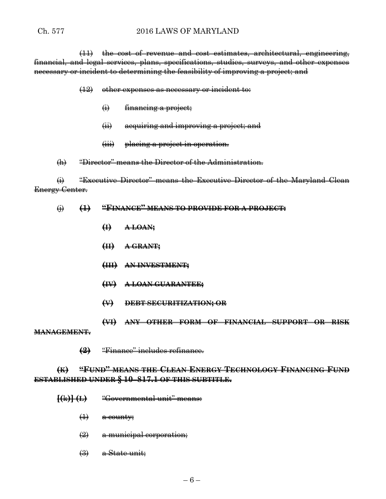(11) the cost of revenue and cost estimates, architectural, engineering, financial, and legal services, plans, specifications, studies, surveys, and other expenses necessary or incident to determining the feasibility of improving a project; and

## (12) other expenses as necessary or incident to:

- $\leftrightarrow$  financing a project;
- (ii) acquiring and improving a project; and
- (iii) placing a project in operation.

# (h) "Director" means the Director of the Administration.

(i) "Executive Director" means the Executive Director of the Maryland Clean Energy Center.

# (j) **(1) "FINANCE" MEANS TO PROVIDE FOR A PROJECT:**

- **(I) A LOAN;**
- **(II) A GRANT;**
- **(III) AN INVESTMENT;**
- **(IV) A LOAN GUARANTEE;**
- **(V) DEBT SECURITIZATION; OR**
- **(VI) ANY OTHER FORM OF FINANCIAL SUPPORT OR RISK**

#### **MANAGEMENT.**

**(2)** "Finance" includes refinance.

# **(K) "FUND" MEANS THE CLEAN ENERGY TECHNOLOGY FINANCING FUND ESTABLISHED UNDER § 10–817.1 OF THIS SUBTITLE.**

- **[(**k**)] (L)** "Governmental unit" means:
	- $\bigoplus$  a county;
	- $\left( 2 \right)$  a municipal corporation;
	- $\leftrightarrow$  a State unit;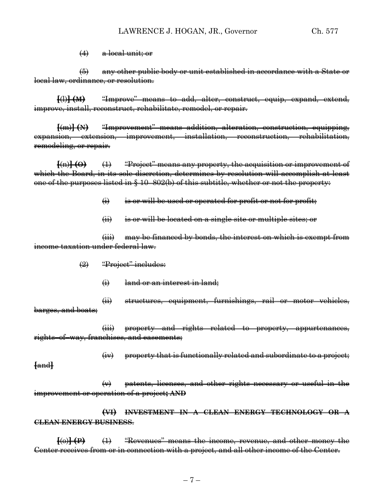$(4)$  a local unit; or

(5) any other public body or unit established in accordance with a State or local law, ordinance, or resolution.

**[**(l)**] (M)** "Improve" means to add, alter, construct, equip, expand, extend, improve, install, reconstruct, rehabilitate, remodel, or repair.

**[**(m)**] (N)** "Improvement" means addition, alteration, construction, equipping, expansion, extension, improvement, installation, reconstruction, rehabilitation, remodeling, or repair.

**[**(n)**] (O)** (1) "Project" means any property, the acquisition or improvement of which the Board, in its sole discretion, determines by resolution will accomplish at least one of the purposes listed in § 10–802(b) of this subtitle, whether or not the property:

- $\leftrightarrow$  is or will be used or operated for profit or not for profit;
- (ii) is or will be located on a single site or multiple sites; or

(iii) may be financed by bonds, the interest on which is exempt from income taxation under federal law.

(2) "Project" includes:

**[**and**]**

(i) land or an interest in land;

(ii) structures, equipment, furnishings, rail or motor vehicles, barges, and boats;

(iii) property and rights related to property, appurtenances, rights–of–way, franchises, and easements;

(iv) property that is functionally related and subordinate to a project;

(v) patents, licenses, and other rights necessary or useful in the improvement or operation of a project**; AND**

**(VI) INVESTMENT IN A CLEAN ENERGY TECHNOLOGY OR A CLEAN ENERGY BUSINESS**.

**[**(o)**] (P)** (1) "Revenues" means the income, revenue, and other money the Center receives from or in connection with a project, and all other income of the Center.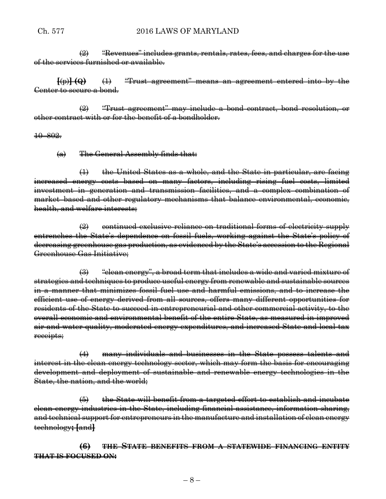$\left(2\right)$  "Revenues" includes grants, rentals, rates, fees, and charges for the use of the services furnished or available.

**[**(p)**] (Q)** (1) "Trust agreement" means an agreement entered into by the Center to secure a bond.

(2) "Trust agreement" may include a bond contract, bond resolution, or other contract with or for the benefit of a bondholder.

10–802.

(a) The General Assembly finds that:

(1) the United States as a whole, and the State in particular, are facing increased energy costs based on many factors, including rising fuel costs, limited investment in generation and transmission facilities, and a complex combination of market–based and other regulatory mechanisms that balance environmental, economic, health, and welfare interests;

(2) continued exclusive reliance on traditional forms of electricity supply entrenches the State's dependence on fossil fuels, working against the State's policy of decreasing greenhouse gas production, as evidenced by the State's accession to the Regional Greenhouse Gas Initiative;

(3) "clean energy", a broad term that includes a wide and varied mixture of strategies and techniques to produce useful energy from renewable and sustainable sources in a manner that minimizes fossil fuel use and harmful emissions, and to increase the efficient use of energy derived from all sources, offers many different opportunities for residents of the State to succeed in entrepreneurial and other commercial activity, to the overall economic and environmental benefit of the entire State, as measured in improved air and water quality, moderated energy expenditures, and increased State and local tax receipts;

(4) many individuals and businesses in the State possess talents and interest in the clean energy technology sector, which may form the basis for encouraging development and deployment of sustainable and renewable energy technologies in the State, the nation, and the world;

(5) the State will benefit from a targeted effort to establish and incubate clean energy industries in the State, including financial assistance, information sharing, and technical support for entrepreneurs in the manufacture and installation of clean energy technology**; [**and**]**

**(6) THE STATE BENEFITS FROM A STATEWIDE FINANCING ENTITY THAT IS FOCUSED ON:**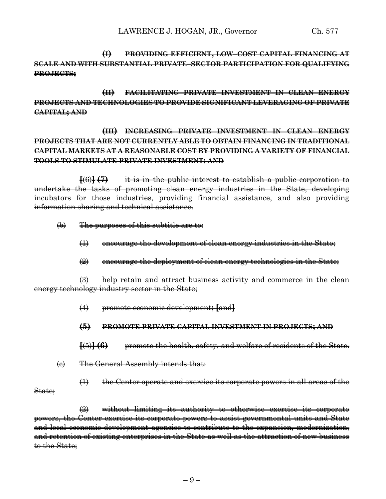**(I) PROVIDING EFFICIENT, LOW–COST CAPITAL FINANCING AT SCALE AND WITH SUBSTANTIAL PRIVATE–SECTOR PARTICIPATION FOR QUALIFYING PROJECTS;**

**(II) FACILITATING PRIVATE INVESTMENT IN CLEAN ENERGY PROJECTS AND TECHNOLOGIES TO PROVIDE SIGNIFICANT LEVERAGING OF PRIVATE CAPITAL; AND**

# **(III) INCREASING PRIVATE INVESTMENT IN CLEAN ENERGY PROJECTS THAT ARE NOT CURRENTLY ABLE TO OBTAIN FINANCING IN TRADITIONAL CAPITAL MARKETS AT A REASONABLE COST BY PROVIDING A VARIETY OF FINANCIAL TOOLS TO STIMULATE PRIVATE INVESTMENT; AND**

**[**(6)**] (7)** it is in the public interest to establish a public corporation to undertake the tasks of promoting clean energy industries in the State, developing incubators for those industries, providing financial assistance, and also providing information sharing and technical assistance.

- (b) The purposes of this subtitle are to:
	- $(1)$  encourage the development of clean energy industries in the State;
	- $\left(2\right)$  encourage the deployment of clean energy technologies in the State;

(3) help retain and attract business activity and commerce in the clean energy technology industry sector in the State;

(4) promote economic development**; [**and**]**

**(5) PROMOTE PRIVATE CAPITAL INVESTMENT IN PROJECTS; AND**

**[**(5)**] (6)** promote the health, safety, and welfare of residents of the State.

- (c) The General Assembly intends that:
- (1) the Center operate and exercise its corporate powers in all areas of the State:

(2) without limiting its authority to otherwise exercise its corporate powers, the Center exercise its corporate powers to assist governmental units and State and local economic development agencies to contribute to the expansion, modernization, and retention of existing enterprises in the State as well as the attraction of new business to the State;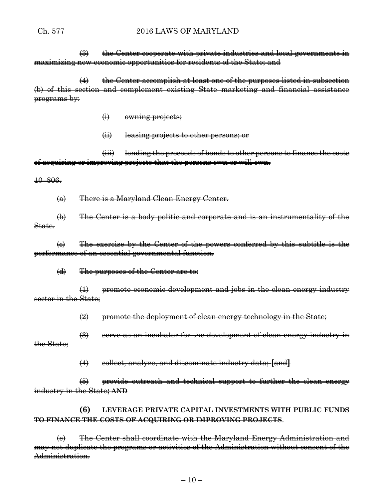## Ch. 577 2016 LAWS OF MARYLAND

 $\left(\frac{1}{2}\right)$  the Center cooperate with private industries and local governments in maximizing new economic opportunities for residents of the State; and

(4) the Center accomplish at least one of the purposes listed in subsection (b) of this section and complement existing State marketing and financial assistance programs by:

- $\leftrightarrow$  owning projects;
- (ii) leasing projects to other persons; or

(iii) lending the proceeds of bonds to other persons to finance the costs of acquiring or improving projects that the persons own or will own.

10–806.

(a) There is a Maryland Clean Energy Center.

(b) The Center is a body politic and corporate and is an instrumentality of the State.

(c) The exercise by the Center of the powers conferred by this subtitle is the performance of an essential governmental function.

(d) The purposes of the Center are to:

(1) promote economic development and jobs in the clean energy industry sector in the State;

 $\left(\frac{1}{2}\right)$  promote the deployment of clean energy technology in the State;

(3) serve as an incubator for the development of clean energy industry in the State;

(4) collect, analyze, and disseminate industry data; **[**and**]**

(5) provide outreach and technical support to further the clean energy industry in the State**; AND**

# **(6) LEVERAGE PRIVATE CAPITAL INVESTMENTS WITH PUBLIC FUNDS TO FINANCE THE COSTS OF ACQUIRING OR IMPROVING PROJECTS**.

(e) The Center shall coordinate with the Maryland Energy Administration and may not duplicate the programs or activities of the Administration without consent of the Administration.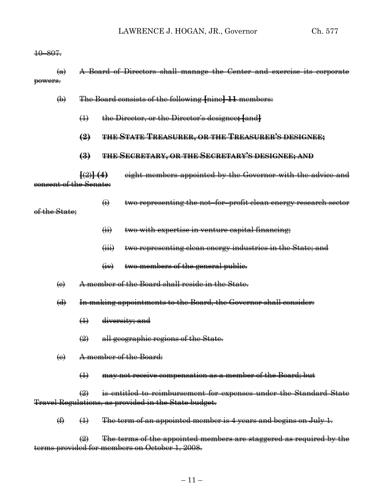#### 10–807.

(a) A Board of Directors shall manage the Center and exercise its corporate powers.

(b) The Board consists of the following **[**nine**] 11** members:

- (1) the Director, or the Director's designee**; [**and**]**
- **(2) THE STATE TREASURER, OR THE TREASURER'S DESIGNEE;**

#### **(3) THE SECRETARY, OR THE SECRETARY'S DESIGNEE; AND**

**[**(2)**] (4)** eight members appointed by the Governor with the advice and consent of the Senate:

 $\leftrightarrow$  two representing the not–for–profit clean energy research sector

of the State;

- (ii) two with expertise in venture capital financing;
- (iii) two representing clean energy industries in the State; and
- (iv) two members of the general public.
- (c) A member of the Board shall reside in the State.
- (d) In making appointments to the Board, the Governor shall consider:
	- (1) diversity; and
	- (2) all geographic regions of the State.
- (e) A member of the Board:
	- (1) may not receive compensation as a member of the Board; but

 $\left( 2 \right)$  is entitled to reimbursement for expenses under the Standard State Travel Regulations, as provided in the State budget.

 $(f)$   $(f)$  The term of an appointed member is 4 years and begins on July 1.

 $\left( 2 \right)$  The terms of the appointed members are staggered as required by the terms provided for members on October 1, 2008.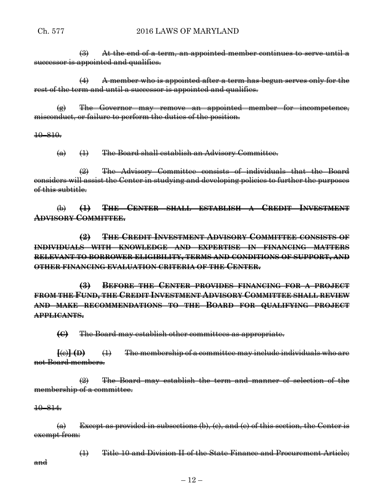# Ch. 577 2016 LAWS OF MARYLAND

 $\left(\frac{3}{2}\right)$  At the end of a term, an appointed member continues to serve until a successor is appointed and qualifies.

(4) A member who is appointed after a term has begun serves only for the rest of the term and until a successor is appointed and qualifies.

(g) The Governor may remove an appointed member for incompetence, misconduct, or failure to perform the duties of the position.

10–810.

 $\overline{a}$   $\leftrightarrow$  The Board shall establish an Advisory Committee.

(2) The Advisory Committee consists of individuals that the Board considers will assist the Center in studying and developing policies to further the purposes of this subtitle.

(b) **(1) THE CENTER SHALL ESTABLISH A CREDIT INVESTMENT ADVISORY COMMITTEE.**

**(2) THE CREDIT INVESTMENT ADVISORY COMMITTEE CONSISTS OF INDIVIDUALS WITH KNOWLEDGE AND EXPERTISE IN FINANCING MATTERS RELEVANT TO BORROWER ELIGIBILITY, TERMS AND CONDITIONS OF SUPPORT, AND OTHER FINANCING EVALUATION CRITERIA OF THE CENTER.**

**(3) BEFORE THE CENTER PROVIDES FINANCING FOR A PROJECT FROM THE FUND, THE CREDIT INVESTMENT ADVISORY COMMITTEE SHALL REVIEW AND MAKE RECOMMENDATIONS TO THE BOARD FOR QUALIFYING PROJECT APPLICANTS.**

**(C)** The Board may establish other committees as appropriate.

 $\{\leftrightarrow\}$   $\{\leftrightarrow\}$  (1) The membership of a committee may include individuals who are not Board members.

(2) The Board may establish the term and manner of selection of the membership of a committee.

#### 10–814.

and

 $(a)$  Except as provided in subsections (b), (c), and (e) of this section, the Center is exempt from:

(1) Title 10 and Division II of the State Finance and Procurement Article;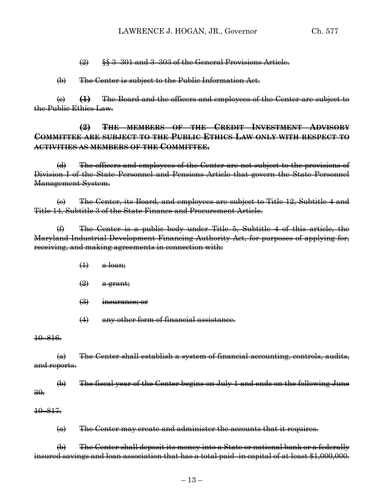(2) §§ 3–301 and 3–303 of the General Provisions Article.

### (b) The Center is subject to the Public Information Act.

(c) **(1)** The Board and the officers and employees of the Center are subject to the Public Ethics Law.

**(2) THE MEMBERS OF THE CREDIT INVESTMENT ADVISORY COMMITTEE ARE SUBJECT TO THE PUBLIC ETHICS LAW ONLY WITH RESPECT TO ACTIVITIES AS MEMBERS OF THE COMMITTEE.**

(d) The officers and employees of the Center are not subject to the provisions of Division I of the State Personnel and Pensions Article that govern the State Personnel Management System.

(e) The Center, its Board, and employees are subject to Title 12, Subtitle 4 and Title 14, Subtitle 3 of the State Finance and Procurement Article.

(f) The Center is a public body under Title 5, Subtitle 4 of this article, the Maryland Industrial Development Financing Authority Act, for purposes of applying for, receiving, and making agreements in connection with:

- $\leftrightarrow$  a loan;
- $\left( 2 \right)$  a grant;
- $$(3)$$  insurance; or
- (4) any other form of financial assistance.

#### 10–816.

(a) The Center shall establish a system of financial accounting, controls, audits, and reports.

(b) The fiscal year of the Center begins on July 1 and ends on the following June 30.

#### 10–817.

 $\left( a \right)$  The Center may create and administer the accounts that it requires.

(b) The Center shall deposit its money into a State or national bank or a federally insured savings and loan association that has a total paid–in capital of at least \$1,000,000.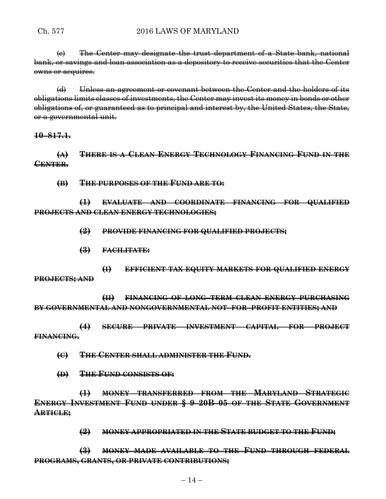$\left(\epsilon\right)$  The Center may designate the trust department of a State bank, national bank, or savings and loan association as a depository to receive securities that the Center owns or acquires.

(d) Unless an agreement or covenant between the Center and the holders of its obligations limits classes of investments, the Center may invest its money in bonds or other obligations of, or guaranteed as to principal and interest by, the United States, the State, or a governmental unit.

**10–817.1.**

**(A) THERE IS A CLEAN ENERGY TECHNOLOGY FINANCING FUND IN THE CENTER.**

**(B) THE PURPOSES OF THE FUND ARE TO:**

**(1) EVALUATE AND COORDINATE FINANCING FOR QUALIFIED PROJECTS AND CLEAN ENERGY TECHNOLOGIES;**

**(2) PROVIDE FINANCING FOR QUALIFIED PROJECTS;**

**(3) FACILITATE:**

**(I) EFFICIENT TAX EQUITY MARKETS FOR QUALIFIED ENERGY PROJECTS; AND**

**(II) FINANCING OF LONG–TERM CLEAN ENERGY PURCHASING BY GOVERNMENTAL AND NONGOVERNMENTAL NOT–FOR–PROFIT ENTITIES; AND**

**(4) SECURE PRIVATE INVESTMENT CAPITAL FOR PROJECT FINANCING.**

**(C) THE CENTER SHALL ADMINISTER THE FUND.**

**(D) THE FUND CONSISTS OF:**

**(1) MONEY TRANSFERRED FROM THE MARYLAND STRATEGIC ENERGY INVESTMENT FUND UNDER § 9–20B–05 OF THE STATE GOVERNMENT ARTICLE;**

**(2) MONEY APPROPRIATED IN THE STATE BUDGET TO THE FUND;**

**(3) MONEY MADE AVAILABLE TO THE FUND THROUGH FEDERAL PROGRAMS, GRANTS, OR PRIVATE CONTRIBUTIONS;**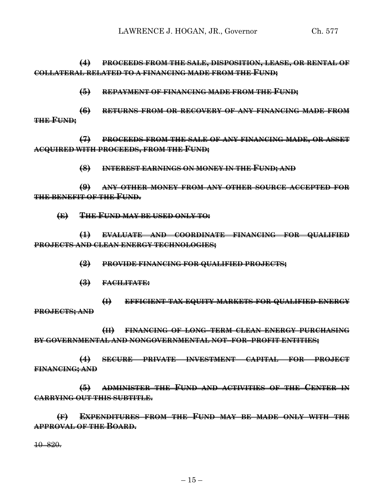**(4) PROCEEDS FROM THE SALE, DISPOSITION, LEASE, OR RENTAL OF COLLATERAL RELATED TO A FINANCING MADE FROM THE FUND;**

**(5) REPAYMENT OF FINANCING MADE FROM THE FUND;**

**(6) RETURNS FROM OR RECOVERY OF ANY FINANCING MADE FROM THE FUND;**

**(7) PROCEEDS FROM THE SALE OF ANY FINANCING MADE, OR ASSET ACQUIRED WITH PROCEEDS, FROM THE FUND;**

**(8) INTEREST EARNINGS ON MONEY IN THE FUND; AND**

**(9) ANY OTHER MONEY FROM ANY OTHER SOURCE ACCEPTED FOR THE BENEFIT OF THE FUND.**

**(E) THE FUND MAY BE USED ONLY TO:**

**(1) EVALUATE AND COORDINATE FINANCING FOR QUALIFIED PROJECTS AND CLEAN ENERGY TECHNOLOGIES;**

**(2) PROVIDE FINANCING FOR QUALIFIED PROJECTS;**

**(3) FACILITATE:**

**(I) EFFICIENT TAX EQUITY MARKETS FOR QUALIFIED ENERGY PROJECTS; AND**

**(II) FINANCING OF LONG–TERM CLEAN ENERGY PURCHASING BY GOVERNMENTAL AND NONGOVERNMENTAL NOT–FOR–PROFIT ENTITIES;**

**(4) SECURE PRIVATE INVESTMENT CAPITAL FOR PROJECT FINANCING; AND**

**(5) ADMINISTER THE FUND AND ACTIVITIES OF THE CENTER IN CARRYING OUT THIS SUBTITLE.**

**(F) EXPENDITURES FROM THE FUND MAY BE MADE ONLY WITH THE APPROVAL OF THE BOARD.**

10–820.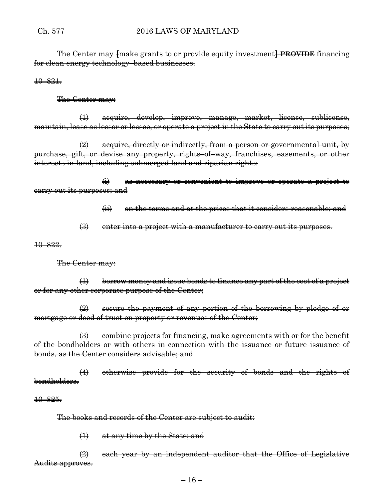The Center may **[**make grants to or provide equity investment**] PROVIDE** financing for clean energy technology–based businesses.

10–821.

The Center may:

(1) acquire, develop, improve, manage, market, license, sublicense, maintain, lease as lessor or lessee, or operate a project in the State to carry out its purposes;

 $\left(2\right)$  acquire, directly or indirectly, from a person or governmental unit, by purchase, gift, or devise any property, rights–of–way, franchises, easements, or other interests in land, including submerged land and riparian rights:

(i) as necessary or convenient to improve or operate a project to carry out its purposes; and

(ii) on the terms and at the prices that it considers reasonable; and

(3) enter into a project with a manufacturer to carry out its purposes.

10–822.

The Center may:

(1) borrow money and issue bonds to finance any part of the cost of a project or for any other corporate purpose of the Center;

 $\left(2\right)$  secure the payment of any portion of the borrowing by pledge of or mortgage or deed of trust on property or revenues of the Center;

(3) combine projects for financing, make agreements with or for the benefit of the bondholders or with others in connection with the issuance or future issuance of bonds, as the Center considers advisable; and

(4) otherwise provide for the security of bonds and the rights of bondholders.

10–825.

The books and records of the Center are subject to audit:

(1) at any time by the State; and

(2) each year by an independent auditor that the Office of Legislative Audits approves.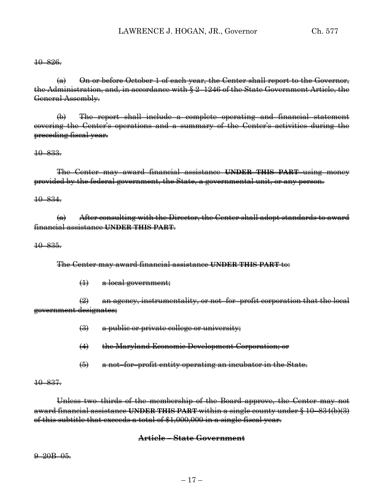#### 10–826.

 $(a)$  On or before October 1 of each year, the Center shall report to the Governor, the Administration, and, in accordance with § 2–1246 of the State Government Article, the General Assembly.

(b) The report shall include a complete operating and financial statement covering the Center's operations and a summary of the Center's activities during the preceding fiscal year.

#### 10–833.

The Center may award financial assistance **UNDER THIS PART** using money provided by the federal government, the State, a governmental unit, or any person.

#### 10–834.

 $(a)$  After consulting with the Director, the Center shall adopt standards to award financial assistance **UNDER THIS PART**.

#### 10–835.

The Center may award financial assistance **UNDER THIS PART** to:

 $\leftrightarrow$  a local government;

 $\left(2\right)$  an agency, instrumentality, or not–for–profit corporation that the local government designates;

- $\left(\frac{1}{2}\right)$  a public or private college or university;
- (4) the Maryland Economic Development Corporation; or
- (5) a not–for–profit entity operating an incubator in the State.

### 10–837.

Unless two–thirds of the membership of the Board approve, the Center may not award financial assistance **UNDER THIS PART** within a single county under § 10–834(b)(3) of this subtitle that exceeds a total of \$1,000,000 in a single fiscal year.

### **Article – State Government**

 $9-20B-05.$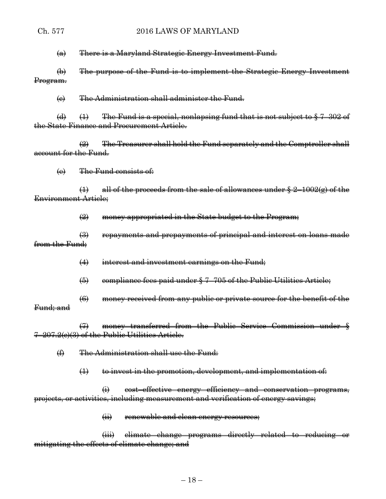(a) There is a Maryland Strategic Energy Investment Fund.

(b) The purpose of the Fund is to implement the Strategic Energy Investment Program.

(c) The Administration shall administer the Fund.

(d)  $(1)$  The Fund is a special, nonlapsing fund that is not subject to  $\S 7-302$  of the State Finance and Procurement Article.

 $\left( 2\right)$  The Treasurer shall hold the Fund separately and the Comptroller shall account for the Fund.

(e) The Fund consists of:

 $(1)$  all of the proceeds from the sale of allowances under  $\S 2-1002(g)$  of the Environment Article;

 $\left( 2 \right)$  money appropriated in the State budget to the Program;

(3) repayments and prepayments of principal and interest on loans made from the Fund:

(4) interest and investment earnings on the Fund;

 $(5)$  eompliance fees paid under  $\S$  7–705 of the Public Utilities Article;

(6) money received from any public or private source for the benefit of the Fund; and

(7) money transferred from the Public Service Commission under § 7–207.2(c)(3) of the Public Utilities Article.

(f) The Administration shall use the Fund:

 $(1)$  to invest in the promotion, development, and implementation of:

(i) cost–effective energy efficiency and conservation programs, projects, or activities, including measurement and verification of energy savings;

(ii) renewable and clean energy resources;

(iii) climate change programs directly related to reducing or mitigating the effects of climate change; and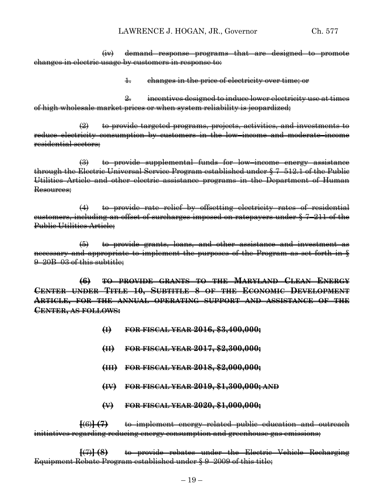(iv) demand response programs that are designed to promote changes in electric usage by customers in response to:

1. changes in the price of electricity over time; or

2. incentives designed to induce lower electricity use at times of high wholesale market prices or when system reliability is jeopardized;

(2) to provide targeted programs, projects, activities, and investments to reduce electricity consumption by customers in the low–income and moderate–income residential sectors;

(3) to provide supplemental funds for low–income energy assistance through the Electric Universal Service Program established under § 7–512.1 of the Public Utilities Article and other electric assistance programs in the Department of Human Resources:

(4) to provide rate relief by offsetting electricity rates of residential customers, including an offset of surcharges imposed on ratepayers under § 7–211 of the Public Utilities Article;

(5) to provide grants, loans, and other assistance and investment as necessary and appropriate to implement the purposes of the Program as set forth in  $\S$ 9–20B–03 of this subtitle;

**(6) TO PROVIDE GRANTS TO THE MARYLAND CLEAN ENERGY CENTER UNDER TITLE 10, SUBTITLE 8 OF THE ECONOMIC DEVELOPMENT ARTICLE, FOR THE ANNUAL OPERATING SUPPORT AND ASSISTANCE OF THE CENTER, AS FOLLOWS:**

- **(I) FOR FISCAL YEAR 2016, \$3,400,000;**
- **(II) FOR FISCAL YEAR 2017, \$2,300,000;**
- **(III) FOR FISCAL YEAR 2018, \$2,000,000;**
- **(IV) FOR FISCAL YEAR 2019, \$1,300,000; AND**
- **(V) FOR FISCAL YEAR 2020, \$1,000,000;**

**[**(6)**] (7)** to implement energy–related public education and outreach initiatives regarding reducing energy consumption and greenhouse gas emissions;

**[**(7)**] (8)** to provide rebates under the Electric Vehicle Recharging Equipment Rebate Program established under § 9–2009 of this title;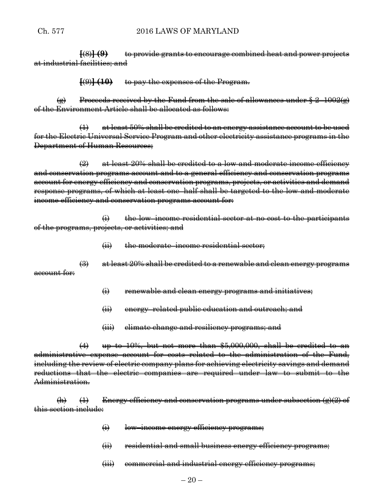**[**(8)**] (9)** to provide grants to encourage combined heat and power projects at industrial facilities; and

**[**(9)**] (10)** to pay the expenses of the Program.

(g) Proceeds received by the Fund from the sale of allowances under  $\S 2$ –1002(g) of the Environment Article shall be allocated as follows:

(1) at least 50% shall be credited to an energy assistance account to be used for the Electric Universal Service Program and other electricity assistance programs in the Department of Human Resources;

 $(2)$  at least 20% shall be credited to a low and moderate income efficiency and conservation programs account and to a general efficiency and conservation programs account for energy efficiency and conservation programs, projects, or activities and demand response programs, of which at least one–half shall be targeted to the low and moderate income efficiency and conservation programs account for:

 $\overrightarrow{H}$  the low–income residential sector at no cost to the participants of the programs, projects, or activities; and

(ii) the moderate–income residential sector;

 $(3)$  at least  $20\%$  shall be credited to a renewable and clean energy programs account for:

- (i) renewable and clean energy programs and initiatives;
- (ii) energy–related public education and outreach; and
- (iii) climate change and resiliency programs; and

 $(4)$  up to 10%, but not more than  $$5,000,000,$  shall be credited to administrative expense account for costs related to the administration of the Fund, including the review of electric company plans for achieving electricity savings and demand reductions that the electric companies are required under law to submit to the Administration.

(h) (1) Energy efficiency and conservation programs under subsection  $\left(\frac{\rho}{2}\right)$  of this section include:

- (i) low–income energy efficiency programs;
- (ii) residential and small business energy efficiency programs;
- (iii) commercial and industrial energy efficiency programs;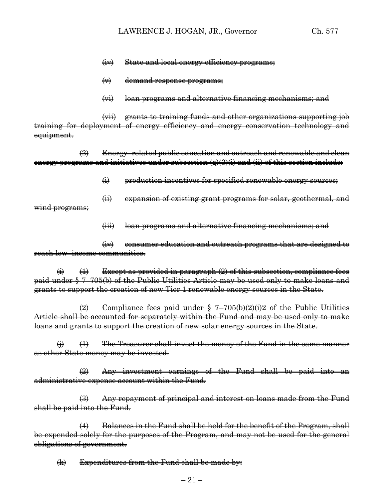- (iv) State and local energy efficiency programs;
- (v) demand response programs;

wind programs;

(vi) loan programs and alternative financing mechanisms; and

(vii) grants to training funds and other organizations supporting job training for deployment of energy efficiency and energy conservation technology and equipment.

 $\left( 2\right)$  Energy–related public education and outreach and renewable and clean energy programs and initiatives under subsection  $(g)(3)(i)$  and  $(ii)$  of this section include:

- (i) production incentives for specified renewable energy sources;
- (ii) expansion of existing grant programs for solar, geothermal, and
- (iii) loan programs and alternative financing mechanisms; and

(iv) consumer education and outreach programs that are designed to reach low–income communities.

 $\overline{(+)}$   $\overline{(-)}$  Except as provided in paragraph  $(2)$  of this subsection, compliance fees paid under § 7–705(b) of the Public Utilities Article may be used only to make loans and grants to support the creation of new Tier 1 renewable energy sources in the State.

 $\left(2\right)$  Compliance fees paid under  $\frac{1}{2}$  7–705(b)(2)(i)2 of the Public Utilities Article shall be accounted for separately within the Fund and may be used only to make loans and grants to support the creation of new solar energy sources in the State.

 $\leftrightarrow$   $\leftrightarrow$  The Treasurer shall invest the money of the Fund in the same manner as other State money may be invested.

(2) Any investment earnings of the Fund shall be paid into an administrative expense account within the Fund.

(3) Any repayment of principal and interest on loans made from the Fund shall be paid into the Fund.

(4) Balances in the Fund shall be held for the benefit of the Program, shall be expended solely for the purposes of the Program, and may not be used for the general obligations of government.

(k) Expenditures from the Fund shall be made by: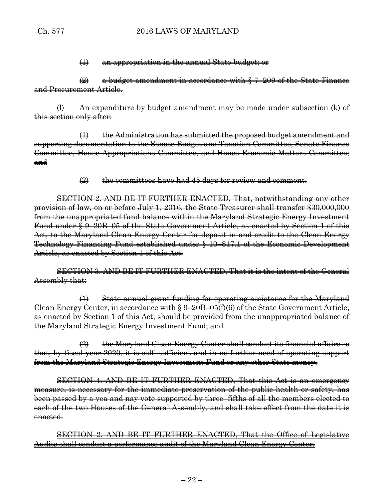(1) an appropriation in the annual State budget; or

 $\left(2\right)$  a budget amendment in accordance with  $\S$  7–209 of the State Finance and Procurement Article.

(l) An expenditure by budget amendment may be made under subsection (k) of this section only after:

 $(1)$  the Administration has submitted the proposed budget amendment and supporting documentation to the Senate Budget and Taxation Committee, Senate Finance Committee, House Appropriations Committee, and House Economic Matters Committee; and

 $\left( 2\right)$  the committees have had 45 days for review and comment.

SECTION 2. AND BE IT FURTHER ENACTED, That, notwithstanding any other provision of law, on or before July 1, 2016, the State Treasurer shall transfer \$30,000,000 from the unappropriated fund balance within the Maryland Strategic Energy Investment Fund under § 9–20B–05 of the State Government Article, as enacted by Section 1 of this Act, to the Maryland Clean Energy Center for deposit in and credit to the Clean Energy Technology Financing Fund established under § 10–817.1 of the Economic Development Article, as enacted by Section 1 of this Act.

SECTION 3. AND BE IT FURTHER ENACTED, That it is the intent of the General Assembly that:

(1) State annual grant funding for operating assistance for the Maryland Clean Energy Center, in accordance with § 9–20B–05(f)(6) of the State Government Article, as enacted by Section 1 of this Act, should be provided from the unappropriated balance of the Maryland Strategic Energy Investment Fund; and

(2) the Maryland Clean Energy Center shall conduct its financial affairs so that, by fiscal year 2020, it is self-sufficient and in no further need of operating support from the Maryland Strategic Energy Investment Fund or any other State money.

SECTION 4. AND BE IT FURTHER ENACTED, That this Act is an emergency measure, is necessary for the immediate preservation of the public health or safety, has been passed by a yea and nay vote supported by three–fifths of all the members elected to each of the two Houses of the General Assembly, and shall take effect from the date it is enacted.

SECTION 2. AND BE IT FURTHER ENACTED, That the Office of Legislative Audits shall conduct a performance audit of the Maryland Clean Energy Center.